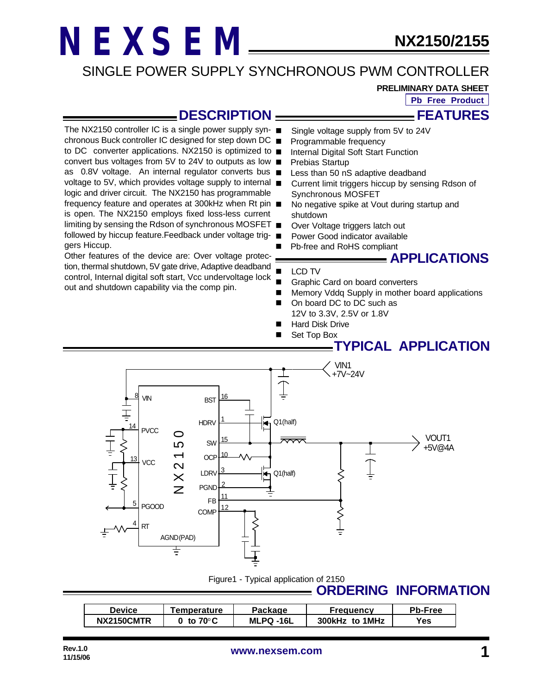#### SINGLE POWER SUPPLY SYNCHRONOUS PWM CONTROLLER

**PRELIMINARY DATA SHEET**

**Pb Free Product**

**FEATURES**

#### **DESCRIPTION**

The NX2150 controller IC is a single power supply syn- $\blacksquare$ chronous Buck controller IC designed for step down DC to DC converter applications. NX2150 is optimized to ■ convert bus voltages from 5V to 24V to outputs as low as 0.8V voltage. An internal regulator converts bus ■ voltage to 5V, which provides voltage supply to internal logic and driver circuit. The NX2150 has programmable frequency feature and operates at 300kHz when Rt pin is open. The NX2150 employs fixed loss-less current limiting by sensing the Rdson of synchronous MOSFET followed by hiccup feature.Feedback under voltage triggers Hiccup.

Other features of the device are: Over voltage protection, thermal shutdown, 5V gate drive, Adaptive deadband control, Internal digital soft start, Vcc undervoltage lock out and shutdown capability via the comp pin.

- Single voltage supply from 5V to 24V
- Programmable frequency
- Internal Digital Soft Start Function
- Prebias Startup
- Less than 50 nS adaptive deadband
- Current limit triggers hiccup by sensing Rdson of Synchronous MOSFET
- No negative spike at Vout during startup and shutdown
- Over Voltage triggers latch out
- Power Good indicator available
- Pb-free and RoHS compliant

#### **APPLICATIONS**

#### LCD TV

- Graphic Card on board converters
- Memory Vddq Supply in mother board applications
- On board DC to DC such as 12V to 3.3V, 2.5V or 1.8V
- Hard Disk Drive
- Set Top Box

#### **TYPICAL APPLICATION**



Figure1 - Typical application of 2150

#### **ORDERING INFORMATION**

| <b>Device</b> | Temperature | Package   | <b>Frequency</b> | <b>Pb-Free</b> |
|---------------|-------------|-----------|------------------|----------------|
| NX2150CMTR    | to 70°C     | MLPQ -16L | 300kHz to 1MHz   | Yes            |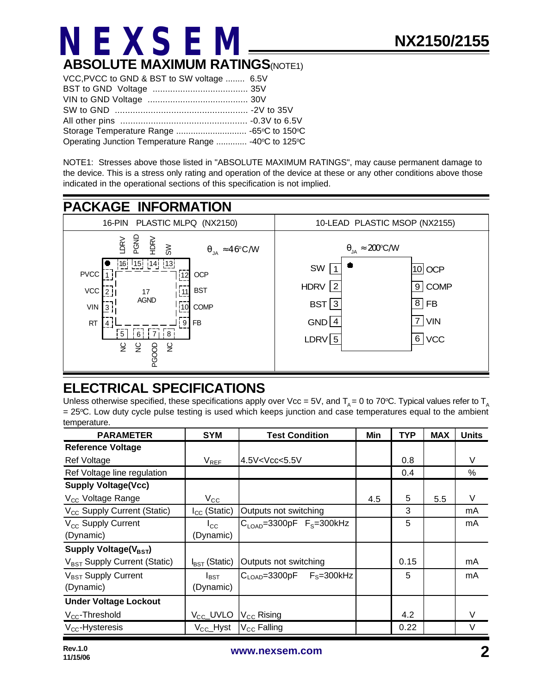

| VCC, PVCC to GND & BST to SW voltage  6.5V           |  |
|------------------------------------------------------|--|
|                                                      |  |
|                                                      |  |
|                                                      |  |
|                                                      |  |
|                                                      |  |
| Operating Junction Temperature Range  -40°C to 125°C |  |

NOTE1: Stresses above those listed in "ABSOLUTE MAXIMUM RATINGS", may cause permanent damage to the device. This is a stress only rating and operation of the device at these or any other conditions above those indicated in the operational sections of this specification is not implied.



#### **ELECTRICAL SPECIFICATIONS**

Unless otherwise specified, these specifications apply over Vcc = 5V, and  $T_A$  = 0 to 70°C. Typical values refer to  $T_A$ = 25oC. Low duty cycle pulse testing is used which keeps junction and case temperatures equal to the ambient temperature.

| <b>PARAMETER</b>                         | <b>SYM</b>                | <b>Test Condition</b>                                                      | Min | <b>TYP</b> | <b>MAX</b> | <b>Units</b> |
|------------------------------------------|---------------------------|----------------------------------------------------------------------------|-----|------------|------------|--------------|
| <b>Reference Voltage</b>                 |                           |                                                                            |     |            |            |              |
| <b>Ref Voltage</b>                       | $V_{REF}$                 | 4.5V <vcc<5.5v< td=""><td></td><td>0.8</td><td></td><td>V</td></vcc<5.5v<> |     | 0.8        |            | V            |
| Ref Voltage line regulation              |                           |                                                                            |     | 0.4        |            | %            |
| <b>Supply Voltage(Vcc)</b>               |                           |                                                                            |     |            |            |              |
| V <sub>CC</sub> Voltage Range            | $V_{\rm CC}$              |                                                                            | 4.5 | 5          | 5.5        | V            |
| V <sub>CC</sub> Supply Current (Static)  | $I_{CC}$ (Static)         | Outputs not switching                                                      |     | 3          |            | mA           |
| V <sub>CC</sub> Supply Current           | $I_{\rm CC}$              | $CLOAD=3300pF FS=300kHz$                                                   |     | 5          |            | mA           |
| (Dynamic)                                | (Dynamic)                 |                                                                            |     |            |            |              |
| Supply Voltage( $V_{\text{BST}}$ )       |                           |                                                                            |     |            |            |              |
| V <sub>BST</sub> Supply Current (Static) | $I_{\text{BST}}$ (Static) | Outputs not switching                                                      |     | 0.15       |            | mA           |
| V <sub>BST</sub> Supply Current          | $I_{\text{BST}}$          | $C_{\text{LOAD}} = 3300pF$ $F_S = 300kHz$                                  |     | 5          |            | mA           |
| (Dynamic)                                | (Dynamic)                 |                                                                            |     |            |            |              |
| <b>Under Voltage Lockout</b>             |                           |                                                                            |     |            |            |              |
| $V_{CC}$ -Threshold                      | $V_{\text{CC}}$ _UVLO     | $V_{\text{CC}}$ Rising                                                     |     | 4.2        |            | V            |
| $V_{CC}$ -Hysteresis                     | $V_{CC}$ Hyst             | $V_{CC}$ Falling                                                           |     | 0.22       |            | $\vee$       |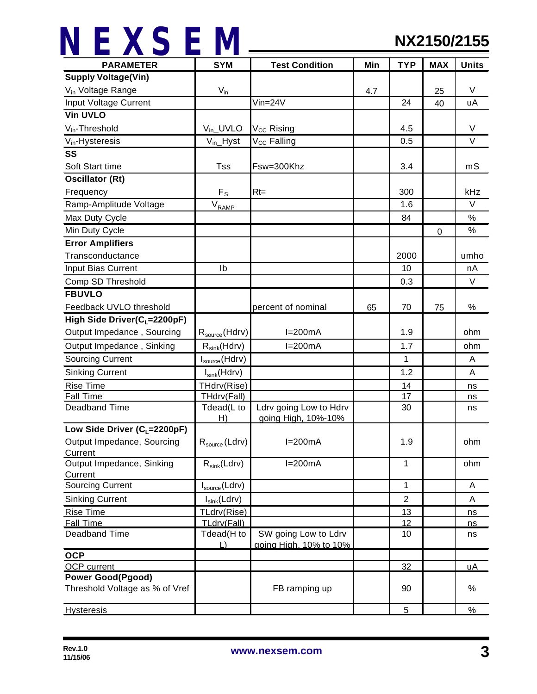| <b>PARAMETER</b>                      | <b>SYM</b>                 | <b>Test Condition</b>   | Min | <b>TYP</b>     | <b>MAX</b>  | <b>Units</b> |
|---------------------------------------|----------------------------|-------------------------|-----|----------------|-------------|--------------|
| <b>Supply Voltage(Vin)</b>            |                            |                         |     |                |             |              |
| V <sub>in</sub> Voltage Range         | $V_{\sf in}$               |                         | 4.7 |                | 25          | V            |
| Input Voltage Current                 |                            | $Vin=24V$               |     | 24             | 40          | uA           |
| <b>Vin UVLO</b>                       |                            |                         |     |                |             |              |
| $V_{in}$ -Threshold                   | $V_{in}$ _UVLO             | $V_{CC}$ Rising         |     | 4.5            |             | V            |
| $V_{in}$ -Hysteresis                  | $V_{in}$ Hyst              | V <sub>CC</sub> Falling |     | 0.5            |             | V            |
| SS                                    |                            |                         |     |                |             |              |
| Soft Start time                       | <b>Tss</b>                 | Fsw=300Khz              |     | 3.4            |             | mS           |
| <b>Oscillator (Rt)</b>                |                            |                         |     |                |             |              |
| Frequency                             | $F_S$                      | $Rt=$                   |     | 300            |             | kHz          |
| Ramp-Amplitude Voltage                | $V_{RAMP}$                 |                         |     | 1.6            |             | $\vee$       |
| Max Duty Cycle                        |                            |                         |     | 84             |             | $\%$         |
| Min Duty Cycle                        |                            |                         |     |                | $\mathbf 0$ | $\%$         |
| <b>Error Amplifiers</b>               |                            |                         |     |                |             |              |
| Transconductance                      |                            |                         |     | 2000           |             | umho         |
| Input Bias Current                    | Ib                         |                         |     | 10             |             | nA           |
| Comp SD Threshold                     |                            |                         |     | 0.3            |             | $\vee$       |
| <b>FBUVLO</b>                         |                            |                         |     |                |             |              |
| Feedback UVLO threshold               |                            | percent of nominal      | 65  | 70             | 75          | $\%$         |
| High Side Driver( $C_1 = 2200pF$ )    |                            |                         |     |                |             |              |
| Output Impedance, Sourcing            | $R_{source}$ (Hdrv)        | $I=200mA$               |     | 1.9            |             | ohm          |
| Output Impedance, Sinking             | $R_{sink}(Hdrv)$           | $I=200mA$               |     | 1.7            |             | ohm          |
| <b>Sourcing Current</b>               | I <sub>source</sub> (Hdrv) |                         |     | 1              |             | A            |
| <b>Sinking Current</b>                | $I_{sink}(H$ drv $)$       |                         |     | 1.2            |             | A            |
| <b>Rise Time</b>                      | THdrv(Rise)                |                         |     | 14             |             | ns           |
| <b>Fall Time</b>                      | THdrv(Fall)                |                         |     | 17             |             | ns           |
| Deadband Time                         | Tdead(L to                 | Ldrv going Low to Hdrv  |     | 30             |             | ns           |
|                                       | H)                         | going High, 10%-10%     |     |                |             |              |
| Low Side Driver ( $C_L$ =2200pF)      |                            |                         |     |                |             |              |
| Output Impedance, Sourcing<br>Current | $R_{source}$ (Ldrv)        | $I=200mA$               |     | 1.9            |             | ohm          |
| Output Impedance, Sinking             | $R_{sink}(Ldrv)$           | $I=200mA$               |     | 1              |             | ohm          |
| Current                               |                            |                         |     |                |             |              |
| <b>Sourcing Current</b>               | $I_{source}$ (Ldrv)        |                         |     | $\mathbf{1}$   |             | A            |
| <b>Sinking Current</b>                | $I_{sink}(Ldrv)$           |                         |     | $\overline{2}$ |             | A            |
| <b>Rise Time</b>                      | TLdrv(Rise)                |                         |     | 13             |             | ns           |
| <b>Fall Time</b>                      | TLdrv(Fall)                |                         |     | 12             |             | ns           |
| Deadband Time                         | Tdead(H to                 | SW going Low to Ldrv    |     | 10             |             | ns           |
| <b>OCP</b>                            | $\Box$                     | going High, 10% to 10%  |     |                |             |              |
| <b>OCP</b> current                    |                            |                         |     | 32             |             | <u>uA</u>    |
| <b>Power Good(Pgood)</b>              |                            |                         |     |                |             |              |
| Threshold Voltage as % of Vref        |                            | FB ramping up           |     | 90             |             | %            |
| <b>Hysteresis</b>                     |                            |                         |     | 5              |             | $\%$         |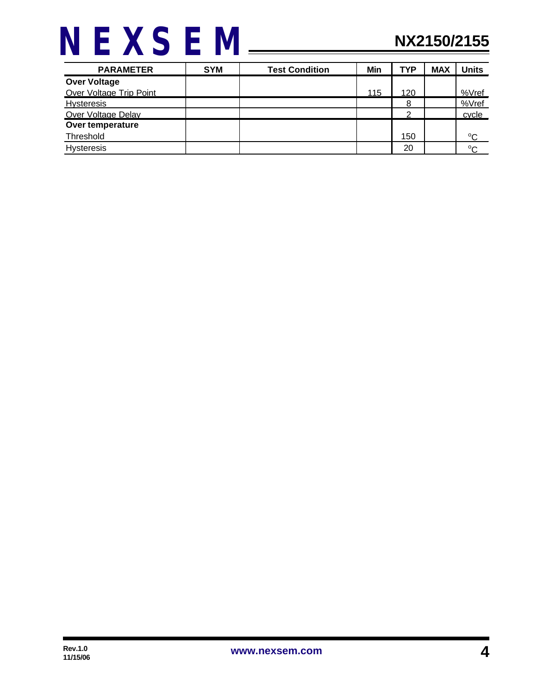| <b>PARAMETER</b>        | <b>SYM</b> | <b>Test Condition</b> | Min | <b>TYP</b> | <b>MAX</b> | <b>Units</b> |
|-------------------------|------------|-----------------------|-----|------------|------------|--------------|
| <b>Over Voltage</b>     |            |                       |     |            |            |              |
| Over Voltage Trip Point |            |                       | 115 | 120        |            | %Vref        |
| <b>Hysteresis</b>       |            |                       |     | 8          |            | %Vref        |
| Over Voltage Delay      |            |                       |     | ◠          |            | cycle        |
| Over temperature        |            |                       |     |            |            |              |
| Threshold               |            |                       |     | 150        |            | $^{\circ}C$  |
| <b>Hysteresis</b>       |            |                       |     | 20         |            | $\sim$       |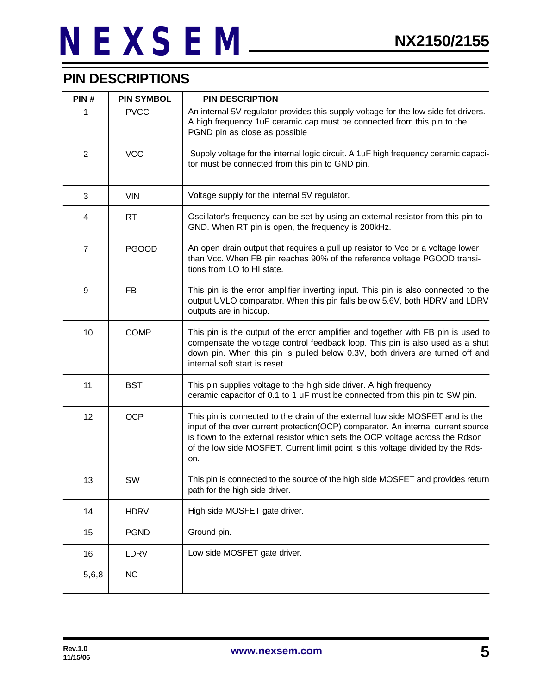#### **PIN DESCRIPTIONS**

| PIN#           | <b>PIN SYMBOL</b> | <b>PIN DESCRIPTION</b>                                                                                                                                                                                                                                                                                                                       |
|----------------|-------------------|----------------------------------------------------------------------------------------------------------------------------------------------------------------------------------------------------------------------------------------------------------------------------------------------------------------------------------------------|
| 1              | <b>PVCC</b>       | An internal 5V regulator provides this supply voltage for the low side fet drivers.<br>A high frequency 1uF ceramic cap must be connected from this pin to the<br>PGND pin as close as possible                                                                                                                                              |
| $\overline{2}$ | <b>VCC</b>        | Supply voltage for the internal logic circuit. A 1uF high frequency ceramic capaci-<br>tor must be connected from this pin to GND pin.                                                                                                                                                                                                       |
| 3              | <b>VIN</b>        | Voltage supply for the internal 5V regulator.                                                                                                                                                                                                                                                                                                |
| 4              | <b>RT</b>         | Oscillator's frequency can be set by using an external resistor from this pin to<br>GND. When RT pin is open, the frequency is 200kHz.                                                                                                                                                                                                       |
| $\overline{7}$ | <b>PGOOD</b>      | An open drain output that requires a pull up resistor to Vcc or a voltage lower<br>than Vcc. When FB pin reaches 90% of the reference voltage PGOOD transi-<br>tions from LO to HI state.                                                                                                                                                    |
| 9              | FB                | This pin is the error amplifier inverting input. This pin is also connected to the<br>output UVLO comparator. When this pin falls below 5.6V, both HDRV and LDRV<br>outputs are in hiccup.                                                                                                                                                   |
| 10             | <b>COMP</b>       | This pin is the output of the error amplifier and together with FB pin is used to<br>compensate the voltage control feedback loop. This pin is also used as a shut<br>down pin. When this pin is pulled below 0.3V, both drivers are turned off and<br>internal soft start is reset.                                                         |
| 11             | <b>BST</b>        | This pin supplies voltage to the high side driver. A high frequency<br>ceramic capacitor of 0.1 to 1 uF must be connected from this pin to SW pin.                                                                                                                                                                                           |
| 12             | <b>OCP</b>        | This pin is connected to the drain of the external low side MOSFET and is the<br>input of the over current protection(OCP) comparator. An internal current source<br>is flown to the external resistor which sets the OCP voltage across the Rdson<br>of the low side MOSFET. Current limit point is this voltage divided by the Rds-<br>on. |
| 13             | SW                | This pin is connected to the source of the high side MOSFET and provides return<br>path for the high side driver.                                                                                                                                                                                                                            |
| 14             | <b>HDRV</b>       | High side MOSFET gate driver.                                                                                                                                                                                                                                                                                                                |
| 15             | <b>PGND</b>       | Ground pin.                                                                                                                                                                                                                                                                                                                                  |
| 16             | <b>LDRV</b>       | Low side MOSFET gate driver.                                                                                                                                                                                                                                                                                                                 |
| 5,6,8          | <b>NC</b>         |                                                                                                                                                                                                                                                                                                                                              |